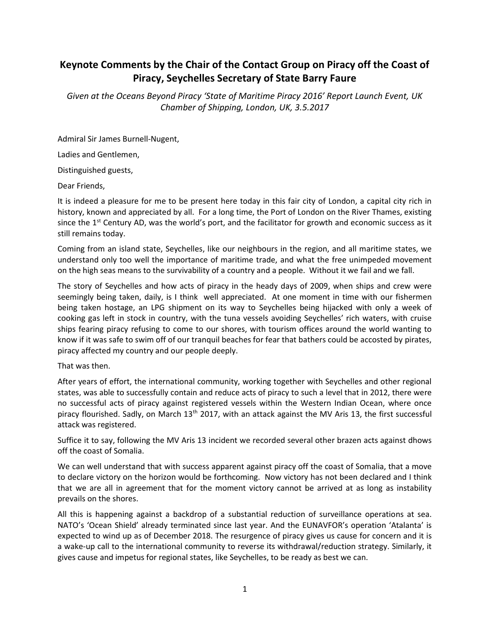## Keynote Comments by the Chair of the Contact Group on Piracy off the Coast of Piracy, Seychelles Secretary of State Barry Faure

Given at the Oceans Beyond Piracy 'State of Maritime Piracy 2016' Report Launch Event, UK Chamber of Shipping, London, UK, 3.5.2017

Admiral Sir James Burnell-Nugent,

Ladies and Gentlemen,

Distinguished guests,

Dear Friends,

It is indeed a pleasure for me to be present here today in this fair city of London, a capital city rich in history, known and appreciated by all. For a long time, the Port of London on the River Thames, existing since the  $1<sup>st</sup>$  Century AD, was the world's port, and the facilitator for growth and economic success as it still remains today.

Coming from an island state, Seychelles, like our neighbours in the region, and all maritime states, we understand only too well the importance of maritime trade, and what the free unimpeded movement on the high seas means to the survivability of a country and a people. Without it we fail and we fall.

The story of Seychelles and how acts of piracy in the heady days of 2009, when ships and crew were seemingly being taken, daily, is I think well appreciated. At one moment in time with our fishermen being taken hostage, an LPG shipment on its way to Seychelles being hijacked with only a week of cooking gas left in stock in country, with the tuna vessels avoiding Seychelles' rich waters, with cruise ships fearing piracy refusing to come to our shores, with tourism offices around the world wanting to know if it was safe to swim off of our tranquil beaches for fear that bathers could be accosted by pirates, piracy affected my country and our people deeply.

That was then.

After years of effort, the international community, working together with Seychelles and other regional states, was able to successfully contain and reduce acts of piracy to such a level that in 2012, there were no successful acts of piracy against registered vessels within the Western Indian Ocean, where once piracy flourished. Sadly, on March 13<sup>th</sup> 2017, with an attack against the MV Aris 13, the first successful attack was registered.

Suffice it to say, following the MV Aris 13 incident we recorded several other brazen acts against dhows off the coast of Somalia.

We can well understand that with success apparent against piracy off the coast of Somalia, that a move to declare victory on the horizon would be forthcoming. Now victory has not been declared and I think that we are all in agreement that for the moment victory cannot be arrived at as long as instability prevails on the shores.

All this is happening against a backdrop of a substantial reduction of surveillance operations at sea. NATO's 'Ocean Shield' already terminated since last year. And the EUNAVFOR's operation 'Atalanta' is expected to wind up as of December 2018. The resurgence of piracy gives us cause for concern and it is a wake-up call to the international community to reverse its withdrawal/reduction strategy. Similarly, it gives cause and impetus for regional states, like Seychelles, to be ready as best we can.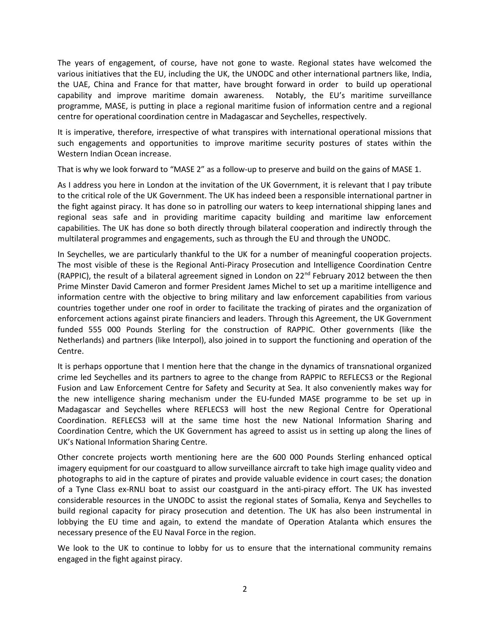The years of engagement, of course, have not gone to waste. Regional states have welcomed the various initiatives that the EU, including the UK, the UNODC and other international partners like, India, the UAE, China and France for that matter, have brought forward in order to build up operational capability and improve maritime domain awareness. Notably, the EU's maritime surveillance programme, MASE, is putting in place a regional maritime fusion of information centre and a regional centre for operational coordination centre in Madagascar and Seychelles, respectively.

It is imperative, therefore, irrespective of what transpires with international operational missions that such engagements and opportunities to improve maritime security postures of states within the Western Indian Ocean increase.

That is why we look forward to "MASE 2" as a follow-up to preserve and build on the gains of MASE 1.

As I address you here in London at the invitation of the UK Government, it is relevant that I pay tribute to the critical role of the UK Government. The UK has indeed been a responsible international partner in the fight against piracy. It has done so in patrolling our waters to keep international shipping lanes and regional seas safe and in providing maritime capacity building and maritime law enforcement capabilities. The UK has done so both directly through bilateral cooperation and indirectly through the multilateral programmes and engagements, such as through the EU and through the UNODC.

In Seychelles, we are particularly thankful to the UK for a number of meaningful cooperation projects. The most visible of these is the Regional Anti-Piracy Prosecution and Intelligence Coordination Centre (RAPPIC), the result of a bilateral agreement signed in London on  $22^{nd}$  February 2012 between the then Prime Minster David Cameron and former President James Michel to set up a maritime intelligence and information centre with the objective to bring military and law enforcement capabilities from various countries together under one roof in order to facilitate the tracking of pirates and the organization of enforcement actions against pirate financiers and leaders. Through this Agreement, the UK Government funded 555 000 Pounds Sterling for the construction of RAPPIC. Other governments (like the Netherlands) and partners (like Interpol), also joined in to support the functioning and operation of the Centre.

It is perhaps opportune that I mention here that the change in the dynamics of transnational organized crime led Seychelles and its partners to agree to the change from RAPPIC to REFLECS3 or the Regional Fusion and Law Enforcement Centre for Safety and Security at Sea. It also conveniently makes way for the new intelligence sharing mechanism under the EU-funded MASE programme to be set up in Madagascar and Seychelles where REFLECS3 will host the new Regional Centre for Operational Coordination. REFLECS3 will at the same time host the new National Information Sharing and Coordination Centre, which the UK Government has agreed to assist us in setting up along the lines of UK's National Information Sharing Centre.

Other concrete projects worth mentioning here are the 600 000 Pounds Sterling enhanced optical imagery equipment for our coastguard to allow surveillance aircraft to take high image quality video and photographs to aid in the capture of pirates and provide valuable evidence in court cases; the donation of a Tyne Class ex-RNLI boat to assist our coastguard in the anti-piracy effort. The UK has invested considerable resources in the UNODC to assist the regional states of Somalia, Kenya and Seychelles to build regional capacity for piracy prosecution and detention. The UK has also been instrumental in lobbying the EU time and again, to extend the mandate of Operation Atalanta which ensures the necessary presence of the EU Naval Force in the region.

We look to the UK to continue to lobby for us to ensure that the international community remains engaged in the fight against piracy.